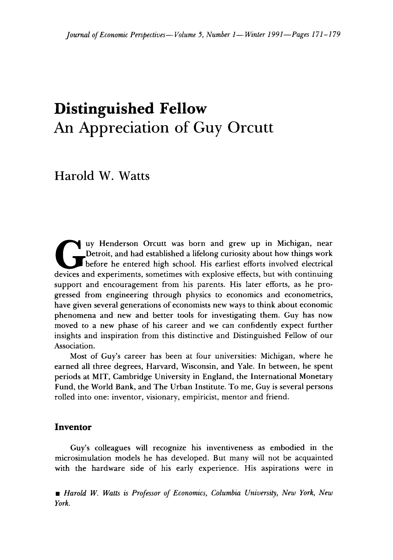# **Distinguished Fellow** An Appreciation of Guy Orcutt

Harold W. Watts

and grew up in Michigan, near<br>Detroit, and had established a lifelong curiosity about how things work<br>before he entered high school. His earliest efforts involved electrical<br>devices and experiments, sometimes with explosiv uy Henderson Orcutt was born and grew up in Michigan, near Detroit, and had established a lifelong curiosity about how things work before he entered high school. His earliest efforts involved electrical support and encouragement from his parents. His later efforts, as he progressed from engineering through physics to economics and econometrics, have given several generations of economists new ways to think about economic phenomena and new and better tools for investigating them. Guy has now moved to a new phase of his career and we can confidently expect further insights and inspiration from this distinctive and Distinguished Fellow of our Association.

Most of Guy's career has been at four universities: Michigan, where he earned all three degrees, Harvard, Wisconsin, and Yale. In between, he spent periods at MIT, Cambridge University in England, the International Monetary Fund, the World Bank, and The Urban Institute. To me, Guy is several persons rolled into one: inventor, visionary, empiricist, mentor and friend.

## **Inventor**

Guy's colleagues will recognize his inventiveness as embodied in the microsimulation models he has developed. But many will not be acquainted with the hardware side of his early experience. His aspirations were in

• *Harold W. Watts is Professor of Economics, Columbia University, New York, New York.*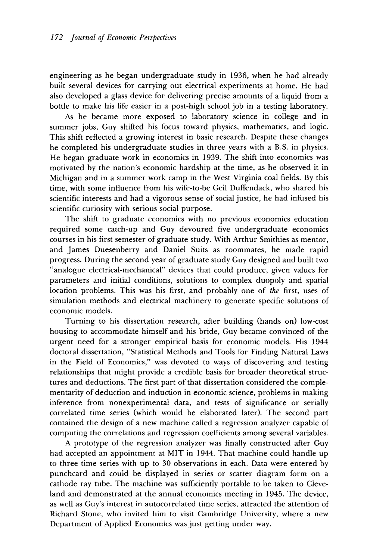engineering as he began undergraduate study in 1936, when he had already built several devices for carrying out electrical experiments at home. He had also developed a glass device for delivering precise amounts of a liquid from a bottle to make his life easier in a post-high school job in a testing laboratory.

As he became more exposed to laboratory science in college and in summer jobs, Guy shifted his focus toward physics, mathematics, and logic. This shift reflected a growing interest in basic research. Despite these changes he completed his undergraduate studies in three years with a B.S. in physics. He began graduate work in economics in 1939. The shift into economics was motivated by the nation's economic hardship at the time, as he observed it in Michigan and in a summer work camp in the West Virginia coal fields. By this time, with some influence from his wife-to-be Geil Duffendack, who shared his scientific interests and had a vigorous sense of social justice, he had infused his scientific curiosity with serious social purpose.

The shift to graduate economics with no previous economics education required some catch-up and Guy devoured five undergraduate economics courses in his first semester of graduate study. With Arthur Smithies as mentor, and James Duesenberry and Daniel Suits as roommates, he made rapid progress. During the second year of graduate study Guy designed and built two "analogue electrical-mechanical" devices that could produce, given values for parameters and initial conditions, solutions to complex duopoly and spatial location problems. This was his first, and probably one of *the* first, uses of simulation methods and electrical machinery to generate specific solutions of economic models.

Turning to his dissertation research, after building (hands on) low-cost housing to accommodate himself and his bride, Guy became convinced of the urgent need for a stronger empirical basis for economic models. His 1944 doctoral dissertation, "Statistical Methods and Tools for Finding Natural Laws in the Field of Economics," was devoted to ways of discovering and testing relationships that might provide a credible basis for broader theoretical structures and deductions. The first part of that dissertation considered the complementarity of deduction and induction in economic science, problems in making inference from nonexperimental data, and tests of significance or serially correlated time series (which would be elaborated later). The second part contained the design of a new machine called a regression analyzer capable of computing the correlations and regression coefficients among several variables.

A prototype of the regression analyzer was finally constructed after Guy had accepted an appointment at MIT in 1944. That machine could handle up to three time series with up to 30 observations in each. Data were entered by punchcard and could be displayed in series or scatter diagram form on a cathode ray tube. The machine was sufficiently portable to be taken to Cleveland and demonstrated at the annual economics meeting in 1945. The device, as well as Guy's interest in autocorrelated time series, attracted the attention of Richard Stone, who invited him to visit Cambridge University, where a new Department of Applied Economics was just getting under way.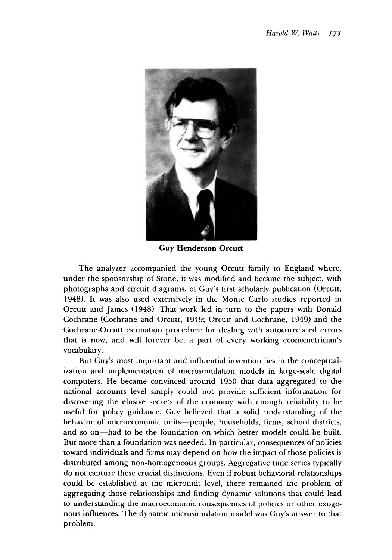

**Guy Henderson Orcutt**

The analyzer accompanied the young Orcutt family to England where, under the sponsorship of Stone, it was modified and became the subject, with photographs and circuit diagrams, of Guy's first scholarly publication (Orcutt, 1948). It was also used extensively in the Monte Carlo studies reported in Orcutt and James (1948). That work led in turn to the papers with Donald Cochrane (Cochrane and Orcutt, 1949; Orcutt and Cochrane, 1949) and the Cochrane-Orcutt estimation procedure for dealing with autocorrelated errors that is now, and will forever be, a part of every working econometrician's vocabulary.

But Guy's most important and influential invention lies in the conceptualization and implementation of microsimulation models in large-scale digital computers. He became convinced around 1950 that data aggregated to the national accounts level simply could not provide sufficient information for discovering the elusive secrets of the economy with enough reliability to be useful for policy guidance. Guy believed that a solid understanding of the behavior of microeconomic units—people, households, firms, school districts, and so on—had to be the foundation on which better models could be built. But more than a foundation was needed. In particular, consequences of policies toward individuals and firms may depend on how the impact of those policies is distributed among non-homogeneous groups. Aggregative time series typically do not capture these crucial distinctions. Even if robust behavioral relationships could be established at the microunit level, there remained the problem of aggregating those relationships and finding dynamic solutions that could lead to understanding the macroeconomic consequences of policies or other exogenous influences. The dynamic microsimulation model was Guy's answer to that problem.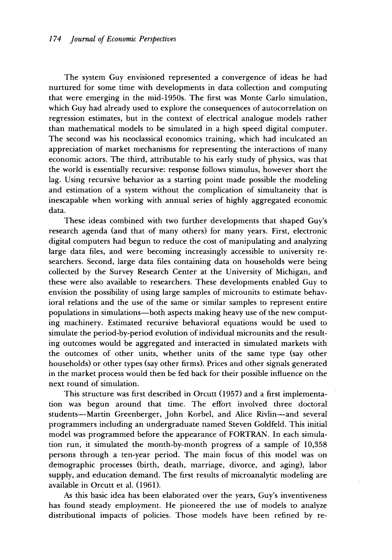The system Guy envisioned represented a convergence of ideas he had nurtured for some time with developments in data collection and computing that were emerging in the mid-1950s. The first was Monte Carlo simulation, which Guy had already used to explore the consequences of autocorrelation on regression estimates, but in the context of electrical analogue models rather than mathematical models to be simulated in a high speed digital computer. The second was his neoclassical economics training, which had inculcated an appreciation of market mechanisms for representing the interactions of many economic actors. The third, attributable to his early study of physics, was that the world is essentially recursive: response follows stimulus, however short the lag. Using recursive behavior as a starting point made possible the modeling and estimation of a system without the complication of simultaneity that is inescapable when working with annual series of highly aggregated economic data.

These ideas combined with two further developments that shaped Guy's research agenda (and that of many others) for many years. First, electronic digital computers had begun to reduce the cost of manipulating and analyzing large data files, and were becoming increasingly accessible to university researchers. Second, large data files containing data on households were being collected by the Survey Research Center at the University of Michigan, and these were also available to researchers. These developments enabled Guy to envision the possibility of using large samples of microunits to estimate behavioral relations and the use of the same or similar samples to represent entire populations in simulations—both aspects making heavy use of the new computing machinery. Estimated recursive behavioral equations would be used to simulate the period-by-period evolution of individual microunits and the resulting outcomes would be aggregated and interacted in simulated markets with the outcomes of other units, whether units of the same type (say other households) or other types (say other firms). Prices and other signals generated in the market process would then be fed back for their possible influence on the next round of simulation.

This structure was first described in Orcutt (1957) and a first implementation was begun around that time. The effort involved three doctoral students—Martin Greenberger, John Korbel, and Alice Rivlin—and several programmers including an undergraduate named Steven Goldfeld. This initial model was programmed before the appearance of FORTRAN. In each simulation run, it simulated the month-by-month progress of a sample of 10,358 persons through a ten-year period. The main focus of this model was on demographic processes (birth, death, marriage, divorce, and aging), labor supply, and education demand. The first results of microanalytic modeling are available in Orcutt et al. (1961).

As this basic idea has been elaborated over the years, Guy's inventiveness has found steady employment. He pioneered the use of models to analyze distributional impacts of policies. Those models have been refined by re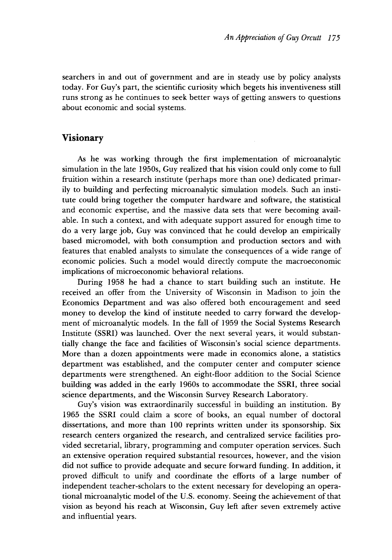searchers in and out of government and are in steady use by policy analysts today. For Guy's part, the scientific curiosity which begets his inventiveness still runs strong as he continues to seek better ways of getting answers to questions about economic and social systems.

# **Visionary**

As he was working through the first implementation of microanalytic simulation in the late 1950s, Guy realized that his vision could only come to full fruition within a research institute (perhaps more than one) dedicated primarily to building and perfecting microanalytic simulation models. Such an institute could bring together the computer hardware and software, the statistical and economic expertise, and the massive data sets that were becoming available. In such a context, and with adequate support assured for enough time to do a very large job, Guy was convinced that he could develop an empirically based micromodel, with both consumption and production sectors and with features that enabled analysts to simulate the consequences of a wide range of economic policies. Such a model would directly compute the macroeconomic implications of microeconomic behavioral relations.

During 1958 he had a chance to start building such an institute. He received an offer from the University of Wisconsin in Madison to join the Economics Department and was also offered both encouragement and seed money to develop the kind of institute needed to carry forward the development of microanalytic models. In the fall of 1959 the Social Systems Research Institute (SSRI) was launched. Over the next several years, it would substantially change the face and facilities of Wisconsin's social science departments. More than a dozen appointments were made in economics alone, a statistics department was established, and the computer center and computer science departments were strengthened. An eight-floor addition to the Social Science building was added in the early 1960s to accommodate the SSRI, three social science departments, and the Wisconsin Survey Research Laboratory.

Guy's vision was extraordinarily successful in building an institution. By 1965 the SSRI could claim a score of books, an equal number of doctoral dissertations, and more than 100 reprints written under its sponsorship. Six research centers organized the research, and centralized service facilities provided secretarial, library, programming and computer operation services. Such an extensive operation required substantial resources, however, and the vision did not suffice to provide adequate and secure forward funding. In addition, it proved difficult to unify and coordinate the efforts of a large number of independent teacher-scholars to the extent necessary for developing an operational microanalytic model of the U.S. economy. Seeing the achievement of that vision as beyond his reach at Wisconsin, Guy left after seven extremely active and influential years.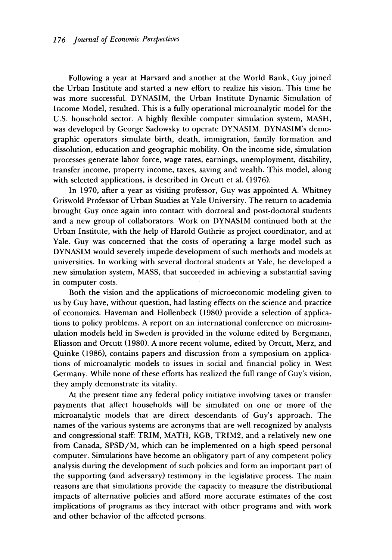Following a year at Harvard and another at the World Bank, Guy joined the Urban Institute and started a new effort to realize his vision. This time he was more successful. DYNASIM, the Urban Institute Dynamic Simulation of Income Model, resulted. This is a fully operational microanalytic model for the U.S. household sector. A highly flexible computer simulation system, MASH, was developed by George Sadowsky to operate DYNASIM. DYNASIM's demographic operators simulate birth, death, immigration, family formation and dissolution, education and geographic mobility. On the income side, simulation processes generate labor force, wage rates, earnings, unemployment, disability, transfer income, property income, taxes, saving and wealth. This model, along with selected applications, is described in Orcutt et al. (1976).

In 1970, after a year as visiting professor, Guy was appointed A. Whitney Griswold Professor of Urban Studies at Yale University. The return to academia brought Guy once again into contact with doctoral and post-doctoral students and a new group of collaborators. Work on DYNASIM continued both at the Urban Institute, with the help of Harold Guthrie as project coordinator, and at Yale. Guy was concerned that the costs of operating a large model such as DYNASIM would severely impede development of such methods and models at universities. In working with several doctoral students at Yale, he developed a new simulation system, MASS, that succeeded in achieving a substantial saving in computer costs.

Both the vision and the applications of microeconomic modeling given to us by Guy have, without question, had lasting effects on the science and practice of economics. Haveman and Hollenbeck (1980) provide a selection of applications to policy problems. A report on an international conference on microsimulation models held in Sweden is provided in the volume edited by Bergmann, Eliasson and Orcutt (1980). A more recent volume, edited by Orcutt, Merz, and Quinke (1986), contains papers and discussion from a symposium on applications of microanalytic models to issues in social and financial policy in West Germany. While none of these efforts has realized the full range of Guy's vision, they amply demonstrate its vitality.

At the present time any federal policy initiative involving taxes or transfer payments that affect households will be simulated on one or more of the microanalytic models that are direct descendants of Guy's approach. The names of the various systems are acronyms that are well recognized by analysts and congressional staff: TRIM, MATH, KGB, TRIM2, and a relatively new one from Canada, SPSD/M, which can be implemented on a high speed personal computer. Simulations have become an obligatory part of any competent policy analysis during the development of such policies and form an important part of the supporting (and adversary) testimony in the legislative process. The main reasons are that simulations provide the capacity to measure the distributional impacts of alternative policies and afford more accurate estimates of the cost implications of programs as they interact with other programs and with work and other behavior of the affected persons.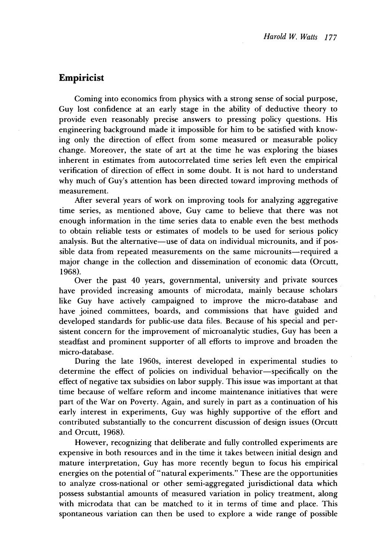# **Empiricist**

Coming into economics from physics with a strong sense of social purpose, Guy lost confidence at an early stage in the ability of deductive theory to provide even reasonably precise answers to pressing policy questions. His engineering background made it impossible for him to be satisfied with knowing only the direction of effect from some measured or measurable policy change. Moreover, the state of art at the time he was exploring the biases inherent in estimates from autocorrelated time series left even the empirical verification of direction of effect in some doubt. It is not hard to understand why much of Guy's attention has been directed toward improving methods of measurement.

After several years of work on improving tools for analyzing aggregative time series, as mentioned above, Guy came to believe that there was not enough information in the time series data to enable even the best methods to obtain reliable tests or estimates of models to be used for serious policy analysis. But the alternative—use of data on individual microunits, and if possible data from repeated measurements on the same microunits—required a major change in the collection and dissemination of economic data (Orcutt, 1968).

Over the past 40 years, governmental, university and private sources have provided increasing amounts of microdata, mainly because scholars like Guy have actively campaigned to improve the micro-database and have joined committees, boards, and commissions that have guided and developed standards for public-use data files. Because of his special and persistent concern for the improvement of microanalytic studies, Guy has been a steadfast and prominent supporter of all efforts to improve and broaden the micro-database.

During the late 1960s, interest developed in experimental studies to determine the effect of policies on individual behavior—specifically on the effect of negative tax subsidies on labor supply. This issue was important at that time because of welfare reform and income maintenance initiatives that were part of the War on Poverty. Again, and surely in part as a continuation of his early interest in experiments, Guy was highly supportive of the effort and contributed substantially to the concurrent discussion of design issues (Orcutt and Orcutt, 1968).

However, recognizing that deliberate and fully controlled experiments are expensive in both resources and in the time it takes between initial design and mature interpretation, Guy has more recently begun to focus his empirical energies on the potential of "natural experiments." These are the opportunities to analyze cross-national or other semi-aggregated jurisdictional data which possess substantial amounts of measured variation in policy treatment, along with microdata that can be matched to it in terms of time and place. This spontaneous variation can then be used to explore a wide range of possible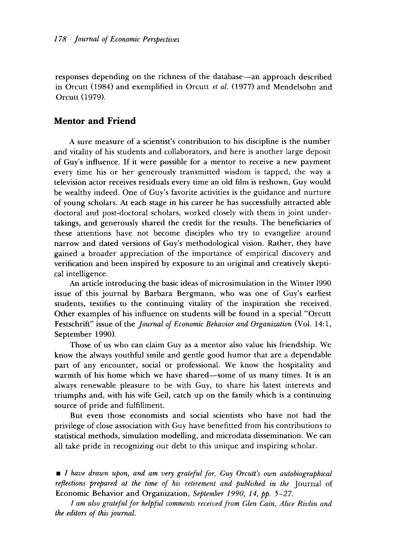responses depending on the richness of the database—an approach described in Orcutt (1984) and exemplified in Orcutt *et al.* (1977) and Mendelsohn and Orcutt (1979).

## **Mentor and Friend**

A sure measure of a scientist's contribution to his discipline is the number and vitality of his students and collaborators, and here is another large deposit of Guy's influence. If it were possible for a mentor to receive a new payment every time his or her generously transmitted wisdom is tapped, the way a television actor receives residuals every time an old film is reshown, Guy would be wealthy indeed. One of Guy's favorite activities is the guidance and nurture of young scholars. At each stage in his career he has successfully attracted able doctoral and post-doctoral scholars, worked closely with them in joint undertakings, and generously shared the credit for the results. The beneficiaries of these attentions have not become disciples who try to evangelize around narrow and dated versions of Guy's methodological vision. Rather, they have gained a broader appreciation of the importance of empirical discovery and verification and been inspired by exposure to an original and creatively skeptical intelligence.

An article introducing the basic ideas of microsimulation in the Winter 1990 issue of this journal by Barbara Bergmann, who was one of Guy's earliest students, testifies to the continuing vitality of the inspiration she received. Other examples of his influence on students will be found in a special "Orcutt Festschrift" issue of the *Journal of Economic Behavior and Organization* (Vol. 14:1, September 1990).

Those of us who can claim Guy as a mentor also value his friendship. We know the always youthful smile and gentle good humor that are a dependable part of any encounter, social or professional. We know the hospitality and warmth of his home which we have shared—some of us many times. It is an always renewable pleasure to be with Guy, to share his latest interests and triumphs and, with his wife Geil, catch up on the family which is a continuing source of pride and fulfillment.

But even those economists and social scientists who have not had the privilege of close association with Guy have benefitted from his contributions to statistical methods, simulation modelling, and microdata dissemination. We can all take pride in recognizing our debt to this unique and inspiring scholar.

• *I have drawn upon, and am very grateful for, Guy Orcutt's own autobiographical reflections prepared at the time of his retirement and published in the* Journal of Economic Behavior and Organization, *September 1990, 14, pp. 5–27.*

*I am also grateful for helpful comments received from Glen Cain, Alice Rivlin and the editors of this journal.*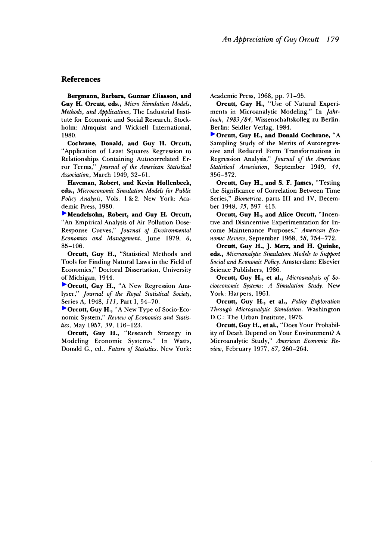#### **References**

**Bergmann, Barbara, Gunnar Eliasson, and Guy H. Orcutt, eds.,** *Micro Simulation Models, Methods, and Applications,* The Industrial Institute for Economic and Social Research, Stockholm: Almquist and Wicksell International, 1980.

**Cochrane, Donald, and Guy H. Orcutt,** "Application of Least Squares Regression to Relationships Containing Autocorrelated Error Terms," *Journal of the American Statistical Association,* March 1949, 32–61.

**Haveman, Robert, and Kevin Hollenbeck, eds.,** *Microeconomic Simulation Models for Public Policy Analysis,* Vols. 1 & 2. New York: Academic Press, 1980.

**[M](http://pubs.aeaweb.org/action/showLinks?crossref=10.1016%2F0095-0696%2879%2990022-6)endelsohn, Robert, and Guy H. Orcutt,** "An Empirical Analysis of Air Pollution Dose-Response Curves," *Journal of Environmental Economics and Management,* June 1979, *6,* 85–106.

**Orcutt, Guy H.,** "Statistical Methods and Tools for Finding Natural Laws in the Field of Economics," Doctoral Dissertation, University of Michigan, 1944.

**[O](http://pubs.aeaweb.org/action/showLinks?crossref=10.2307%2F2980725)rcutt, Guy H.,** "A New Regression Analyser," *Journal of the Royal Statistical Society,* Series A, 1948, *111,* Part 1, 54–70.

**[O](http://pubs.aeaweb.org/action/showLinks?crossref=10.2307%2F1928528)rcutt, Guy H.,** "A New Type of Socio-Economic System," *Review of Economics and Statistics,* May 1957, *39,* 116–123.

**Orcutt, Guy H., "Research Strategy in** Modeling Economic Systems." In Watts, Donald G., ed., *Future of Statistics.* New York: Academic Press, 1968, pp. 71–95.

**Orcutt, Guy H.,** "Use of Natural Experiments in Microanalytic Modeling." In *Jahrbuch, 1983/84,* Wissenschaftskolleg zu Berlin. Berlin: Seidler Verlag, 1984.

**[O](http://pubs.aeaweb.org/action/showLinks?crossref=10.1080%2F01621459.1949.10483312)rcutt, Guy H., and Donald Cochrane,** "A Sampling Study of the Merits of Autoregressive and Reduced Form Transformations in Regression Analysis," *Journal of the American Statistical Association,* September 1949, *44,* 356–372.

**Orcutt, Guy H., and S. F. James,** "Testing the Significance of Correlation Between Time Series," *Biometrica,* parts III and IV, December 1948, *35,* 397–413.

**Orcutt, Guy H., and Alice Orcutt,** "Incentive and Disincentive Experimentation for Income Maintenance Purposes," *American Economic Review,* September 1968, *58,* 754–772.

**Orcutt, Guy H., J. Merz, and H. Quinke, eds.,** *Microanalytic Simulation Models to Support Social and Economic Policy.* Amsterdam: Elsevier Science Publishers, 1986.

**Orcutt, Guy H., et al.,** *Microanalysis of Socioeconomic Systems: A Simulation Study.* New York: Harpers, 1961.

**Orcutt, Guy H., et al.,** *Policy Exploration Through Microanalytic Simulation.* Washington D.C.: The Urban Institute, 1976.

**Orcutt, Guy H., et al.,** "Does Your Probability of Death Depend on Your Environment? A Microanalytic Study," *American Economic Review,* February 1977, *67,* 260–264.